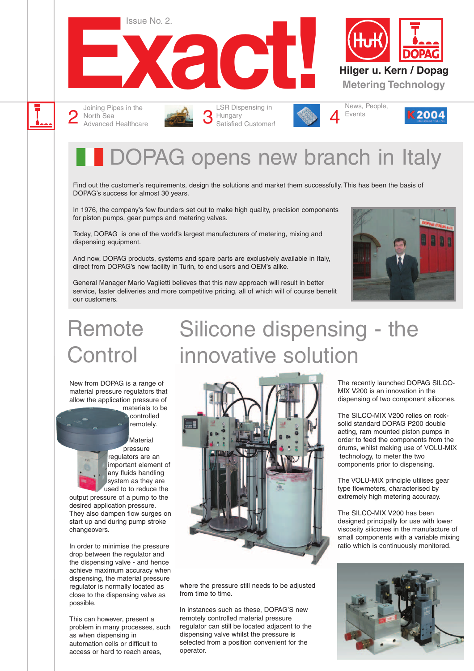

DOPAG opens new branch in Italy

Silicone dispensing - the

Find out the customer's requirements, design the solutions and market them successfully. This has been the basis of DOPAG's success for almost 30 years.

In 1976, the company's few founders set out to make high quality, precision components for piston pumps, gear pumps and metering valves.

Today, DOPAG is one of the world's largest manufacturers of metering, mixing and dispensing equipment.

And now, DOPAG products, systems and spare parts are exclusively available in Italy, direct from DOPAG's new facility in Turin, to end users and OEM's alike.

General Manager Mario Vaglietti believes that this new approach will result in better service, faster deliveries and more competitive pricing, all of which will of course benefit our customers.



# **Remote Control**

Advanced Healthcare

New from DOPAG is a range of material pressure regulators that allow the application pressure of

materials to be controlled remotely.

Material pressure regulators are an important element of any fluids handling system as they are used to to reduce the

output pressure of a pump to the desired application pressure. They also dampen flow surges on start up and during pump stroke changeovers.

In order to minimise the pressure drop between the regulator and the dispensing valve - and hence achieve maximum accuracy when dispensing, the material pressure regulator is normally located as close to the dispensing valve as possible.

This can however, present a problem in many processes, such as when dispensing in automation cells or difficult to access or hard to reach areas,



where the pressure still needs to be adjusted from time to time.

In instances such as these, DOPAG'S new remotely controlled material pressure regulator can still be located adjacent to the dispensing valve whilst the pressure is selected from a position convenient for the operator.

The recently launched DOPAG SILCO-MIX V200 is an innovation in the dispensing of two component silicones.

The SILCO-MIX V200 relies on rocksolid standard DOPAG P200 double acting, ram mounted piston pumps in order to feed the components from the drums, whilst making use of VOLU-MIX technology, to meter the two components prior to dispensing.

The VOLU-MIX principle utilises gear type flowmeters, characterised by extremely high metering accuracy.

The SILCO-MIX V200 has been designed principally for use with lower viscosity silicones in the manufacture of small components with a variable mixing ratio which is continuously monitored.

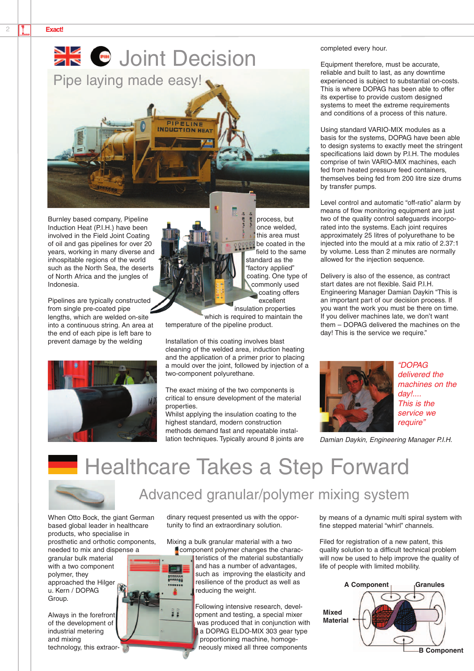

Burnley based company, Pipeline Induction Heat (P.I.H.) have been involved in the Field Joint Coating of oil and gas pipelines for over 20 years, working in many diverse and inhospitable regions of the world such as the North Sea, the deserts of North Africa and the jungles of Indonesia.

Pipelines are typically constructed from single pre-coated pipe lengths, which are welded on-site into a continuous string. An area at the end of each pipe is left bare to prevent damage by the welding



process, but once welded, this area must **pers** be coated in the field to the same standard as the "factory applied" coating. One type of commonly used coating offers excellent

insulation properties which is required to maintain the temperature of the pipeline product.

Installation of this coating involves blast cleaning of the welded area, induction heating and the application of a primer prior to placing a mould over the joint, followed by injection of a two-component polyurethane.

The exact mixing of the two components is critical to ensure development of the material properties.

Whilst applying the insulation coating to the highest standard, modern construction methods demand fast and repeatable installation techniques. Typically around 8 joints are completed every hour.

Equipment therefore, must be accurate, reliable and built to last, as any downtime experienced is subject to substantial on-costs. This is where DOPAG has been able to offer its expertise to provide custom designed systems to meet the extreme requirements and conditions of a process of this nature.

Using standard VARIO-MIX modules as a basis for the systems, DOPAG have been able to design systems to exactly meet the stringent specifications laid down by P.I.H. The modules comprise of twin VARIO-MIX machines, each fed from heated pressure feed containers, themselves being fed from 200 litre size drums by transfer pumps.

Level control and automatic "off-ratio" alarm by means of flow monitoring equipment are just two of the quality control safeguards incorporated into the systems. Each joint requires approximately 25 litres of polyurethane to be injected into the mould at a mix ratio of 2.37:1 by volume. Less than 2 minutes are normally allowed for the injection sequence.

Delivery is also of the essence, as contract start dates are not flexible. Said P.I.H. Engineering Manager Damian Daykin "This is an important part of our decision process. If you want the work you must be there on time. If you deliver machines late, we don't want them – DOPAG delivered the machines on the day! This is the service we require."



*"DOPAG delivered the machines on the day!.... This is the service we require"*

*Damian Daykin, Engineering Manager P.I.H.*

## **Healthcare Takes a Step Forward**



#### Advanced granular/polymer mixing system

When Otto Bock, the giant German based global leader in healthcare products, who specialise in prosthetic and orthotic components, needed to mix and dispense a granular bulk material

with a two component polymer, they approached the Hilger u. Kern / DOPAG Group.

Always in the forefront of the development of industrial metering and mixing technology, this extraordinary request presented us with the opportunity to find an extraordinary solution.

Mixing a bulk granular material with a two **Component polymer changes the charac-**

teristics of the material substantially and has a number of advantages, such as improving the elasticity and resilience of the product as well as reducing the weight.

Following intensive research, development and testing, a special mixer was produced that in conjunction with a DOPAG ELDO-MIX 303 gear type proportioning machine, homogeneously mixed all three components

by means of a dynamic multi spiral system with fine stepped material "whirl" channels.

Filed for registration of a new patent, this quality solution to a difficult technical problem will now be used to help improve the quality of life of people with limited mobility.

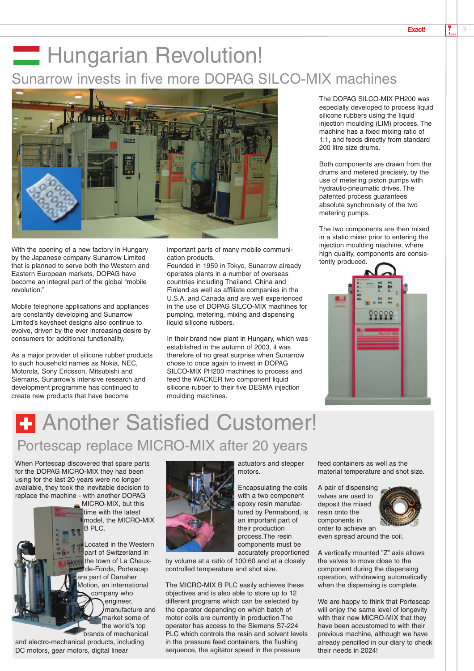### **Hungarian Revolution!** Sunarrow invests in five more DOPAG SILCO-MIX machines



With the opening of a new factory in Hungary by the Japanese company Sunarrow Limited that is planned to serve both the Western and Eastern European markets, DOPAG have become an integral part of the global "mobile revolution."

Mobile telephone applications and appliances are constantly developing and Sunarrow Limited's keysheet designs also continue to evolve, driven by the ever increasing desire by consumers for additional functionality.

As a major provider of silicone rubber products to such household names as Nokia, NEC, Motorola, Sony Ericsson, Mitsubishi and Siemans, Sunarrow's intensive research and development programme has continued to create new products that have become

important parts of many mobile communication products.

Founded in 1959 in Tokyo, Sunarrow already operates plants in a number of overseas countries including Thailand, China and Finland as well as affiliate companies in the U.S.A. and Canada and are well experienced in the use of DOPAG SILCO-MIX machines for pumping, metering, mixing and dispensing liquid silicone rubbers.

In their brand new plant in Hungary, which was established in the autumn of 2003, it was therefore of no great surprise when Sunarrow chose to once again to invest in DOPAG SILCO-MIX PH200 machines to process and feed the WACKER two component liquid silicone rubber to their five DESMA injection moulding machines.

The DOPAG SILCO-MIX PH200 was especially developed to process liquid silicone rubbers using the liquid injection moulding (LIM) process. The machine has a fixed mixing ratio of 1:1, and feeds directly from standard 200 litre size drums.

Both components are drawn from the drums and metered precisely, by the use of metering piston pumps with hydraulic-pneumatic drives. The patented process guarantees absolute synchronisity of the two metering pumps.

The two components are then mixed in a static mixer prior to entering the injection moulding machine, where high quality, components are consistently produced.



## **F** Another Satisfied Customer! Portescap replace MICRO-MIX after 20 years

When Portescap discovered that spare parts for the DOPAG MICRO-MIX they had been using for the last 20 years were no longer available, they took the inevitable decision to replace the machine - with another DOPAG

MICRO-MIX, but this time with the latest model, the MICRO-MIX B PLC.

Located in the Western part of Switzerland in the town of La Chauxde-Fonds, Portescap are part of Danaher Motion, an international company who engineer, manufacture and market some of the world's top brands of mechanical

and electro-mechanical products, including DC motors, gear motors, digital linear



motors. Encapsulating the coils

actuators and stepper

with a two component epoxy resin manufactured by Permabond, is an important part of their production process.The resin components must be accurately proportioned

by volume at a ratio of 100:60 and at a closely controlled temperature and shot size.

The MICRO-MIX B PLC easily achieves these objectives and is also able to store up to 12 different programs which can be selected by the operator depending on which batch of motor coils are currently in production.The operator has access to the Siemens S7-224 PLC which controls the resin and solvent levels in the pressure feed containers, the flushing sequence, the agitator speed in the pressure

feed containers as well as the material temperature and shot size.

A pair of dispensing valves are used to deposit the mixed resin onto the components in order to achieve an



even spread around the coil.

A vertically mounted "Z" axis allows the valves to move close to the component during the dispensing operation, withdrawing automatically when the dispensing is complete.

We are happy to think that Portescap will enjoy the same level of longevity with their new MICRO-MIX that they have been accustomed to with their previous machine, although we have already pencilled in our diary to check their needs in 2024!